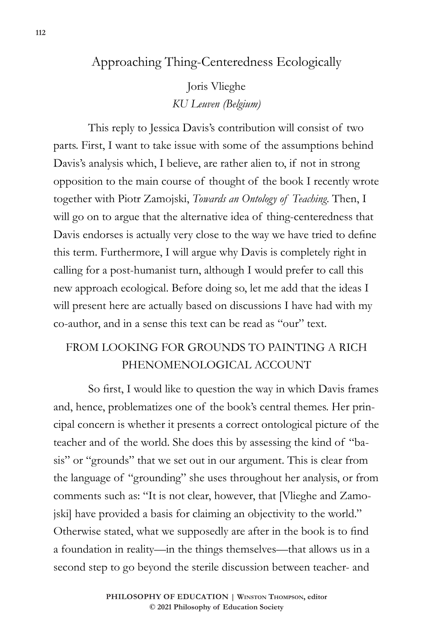## Approaching Thing-Centeredness Ecologically

Joris Vlieghe *KU Leuven (Belgium)*

This reply to Jessica Davis's contribution will consist of two parts. First, I want to take issue with some of the assumptions behind Davis's analysis which, I believe, are rather alien to, if not in strong opposition to the main course of thought of the book I recently wrote together with Piotr Zamojski, *Towards an Ontology of Teaching*. Then, I will go on to argue that the alternative idea of thing-centeredness that Davis endorses is actually very close to the way we have tried to define this term. Furthermore, I will argue why Davis is completely right in calling for a post-humanist turn, although I would prefer to call this new approach ecological. Before doing so, let me add that the ideas I will present here are actually based on discussions I have had with my co-author, and in a sense this text can be read as "our" text.

## FROM LOOKING FOR GROUNDS TO PAINTING A RICH PHENOMENOLOGICAL ACCOUNT

So first, I would like to question the way in which Davis frames and, hence, problematizes one of the book's central themes. Her principal concern is whether it presents a correct ontological picture of the teacher and of the world. She does this by assessing the kind of "basis" or "grounds" that we set out in our argument. This is clear from the language of "grounding" she uses throughout her analysis, or from comments such as: "It is not clear, however, that [Vlieghe and Zamojski] have provided a basis for claiming an objectivity to the world." Otherwise stated, what we supposedly are after in the book is to find a foundation in reality—in the things themselves—that allows us in a second step to go beyond the sterile discussion between teacher- and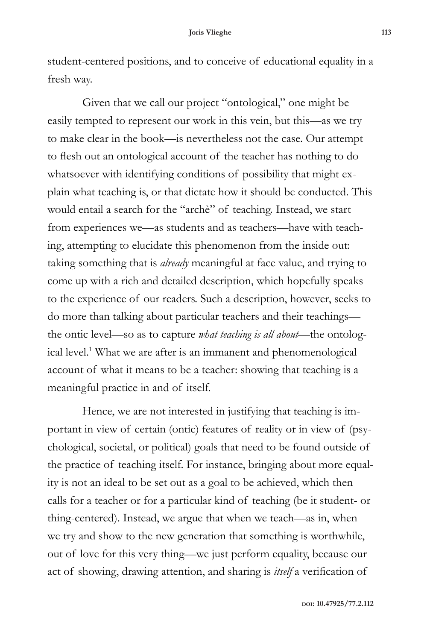student-centered positions, and to conceive of educational equality in a fresh way.

Given that we call our project "ontological," one might be easily tempted to represent our work in this vein, but this—as we try to make clear in the book—is nevertheless not the case. Our attempt to flesh out an ontological account of the teacher has nothing to do whatsoever with identifying conditions of possibility that might explain what teaching is, or that dictate how it should be conducted. This would entail a search for the "archè" of teaching. Instead, we start from experiences we—as students and as teachers—have with teaching, attempting to elucidate this phenomenon from the inside out: taking something that is *already* meaningful at face value, and trying to come up with a rich and detailed description, which hopefully speaks to the experience of our readers. Such a description, however, seeks to do more than talking about particular teachers and their teachings the ontic level—so as to capture *what teaching is all about*—the ontological level.<sup>1</sup> What we are after is an immanent and phenomenological account of what it means to be a teacher: showing that teaching is a meaningful practice in and of itself.

Hence, we are not interested in justifying that teaching is important in view of certain (ontic) features of reality or in view of (psychological, societal, or political) goals that need to be found outside of the practice of teaching itself. For instance, bringing about more equality is not an ideal to be set out as a goal to be achieved, which then calls for a teacher or for a particular kind of teaching (be it student- or thing-centered). Instead, we argue that when we teach—as in, when we try and show to the new generation that something is worthwhile, out of love for this very thing—we just perform equality, because our act of showing, drawing attention, and sharing is *itself* a verification of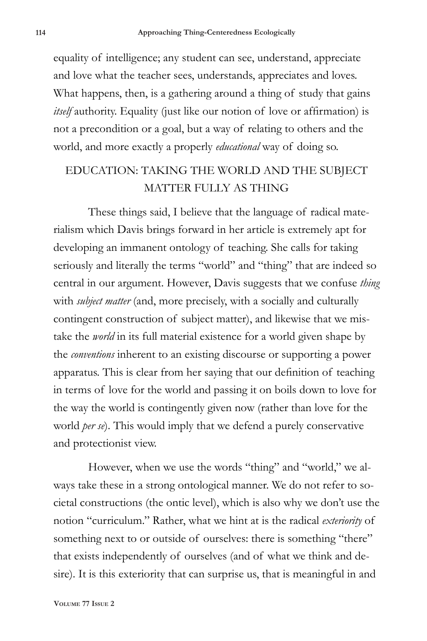equality of intelligence; any student can see, understand, appreciate and love what the teacher sees, understands, appreciates and loves. What happens, then, is a gathering around a thing of study that gains *itself* authority. Equality (just like our notion of love or affirmation) is not a precondition or a goal, but a way of relating to others and the world, and more exactly a properly *educational* way of doing so.

## EDUCATION: TAKING THE WORLD AND THE SUBJECT MATTER FULLY AS THING

These things said, I believe that the language of radical materialism which Davis brings forward in her article is extremely apt for developing an immanent ontology of teaching. She calls for taking seriously and literally the terms "world" and "thing" that are indeed so central in our argument. However, Davis suggests that we confuse *thing* with *subject matter* (and, more precisely, with a socially and culturally contingent construction of subject matter), and likewise that we mistake the *world* in its full material existence for a world given shape by the *conventions* inherent to an existing discourse or supporting a power apparatus. This is clear from her saying that our definition of teaching in terms of love for the world and passing it on boils down to love for the way the world is contingently given now (rather than love for the world *per se*). This would imply that we defend a purely conservative and protectionist view.

However, when we use the words "thing" and "world," we always take these in a strong ontological manner. We do not refer to societal constructions (the ontic level), which is also why we don't use the notion "curriculum." Rather, what we hint at is the radical *exteriority* of something next to or outside of ourselves: there is something "there" that exists independently of ourselves (and of what we think and desire). It is this exteriority that can surprise us, that is meaningful in and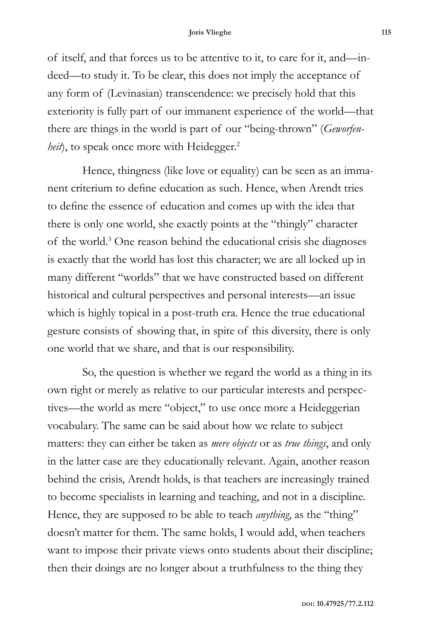## **Joris Vlieghe 115**

of itself, and that forces us to be attentive to it, to care for it, and—indeed—to study it. To be clear, this does not imply the acceptance of any form of (Levinasian) transcendence: we precisely hold that this exteriority is fully part of our immanent experience of the world—that there are things in the world is part of our "being-thrown" (*Geworfenheit*), to speak once more with Heidegger.<sup>2</sup>

Hence, thingness (like love or equality) can be seen as an immanent criterium to define education as such. Hence, when Arendt tries to define the essence of education and comes up with the idea that there is only one world, she exactly points at the "thingly" character of the world.<sup>3</sup> One reason behind the educational crisis she diagnoses is exactly that the world has lost this character; we are all locked up in many different "worlds" that we have constructed based on different historical and cultural perspectives and personal interests—an issue which is highly topical in a post-truth era. Hence the true educational gesture consists of showing that, in spite of this diversity, there is only one world that we share, and that is our responsibility.

So, the question is whether we regard the world as a thing in its own right or merely as relative to our particular interests and perspectives—the world as mere "object," to use once more a Heideggerian vocabulary. The same can be said about how we relate to subject matters: they can either be taken as *mere objects* or as *true things*, and only in the latter case are they educationally relevant. Again, another reason behind the crisis, Arendt holds, is that teachers are increasingly trained to become specialists in learning and teaching, and not in a discipline. Hence, they are supposed to be able to teach *anything*, as the "thing" doesn't matter for them. The same holds, I would add, when teachers want to impose their private views onto students about their discipline; then their doings are no longer about a truthfulness to the thing they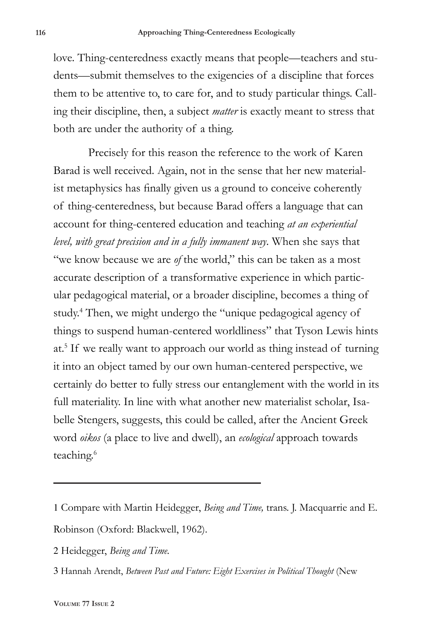love. Thing-centeredness exactly means that people—teachers and students—submit themselves to the exigencies of a discipline that forces them to be attentive to, to care for, and to study particular things. Calling their discipline, then, a subject *matter* is exactly meant to stress that both are under the authority of a thing.

Precisely for this reason the reference to the work of Karen Barad is well received. Again, not in the sense that her new materialist metaphysics has finally given us a ground to conceive coherently of thing-centeredness, but because Barad offers a language that can account for thing-centered education and teaching *at an experiential level, with great precision and in a fully immanent way*. When she says that "we know because we are *of* the world," this can be taken as a most accurate description of a transformative experience in which particular pedagogical material, or a broader discipline, becomes a thing of study.4 Then, we might undergo the "unique pedagogical agency of things to suspend human-centered worldliness" that Tyson Lewis hints at.5 If we really want to approach our world as thing instead of turning it into an object tamed by our own human-centered perspective, we certainly do better to fully stress our entanglement with the world in its full materiality. In line with what another new materialist scholar, Isabelle Stengers, suggests, this could be called, after the Ancient Greek word *oikos* (a place to live and dwell), an *ecological* approach towards teaching.<sup>6</sup>

- 2 Heidegger, *Being and Time.*
- 3 Hannah Arendt, *Between Past and Future: Eight Exercises in Political Thought* (New

<sup>1</sup> Compare with Martin Heidegger, *Being and Time,* trans. J. Macquarrie and E. Robinson (Oxford: Blackwell, 1962).